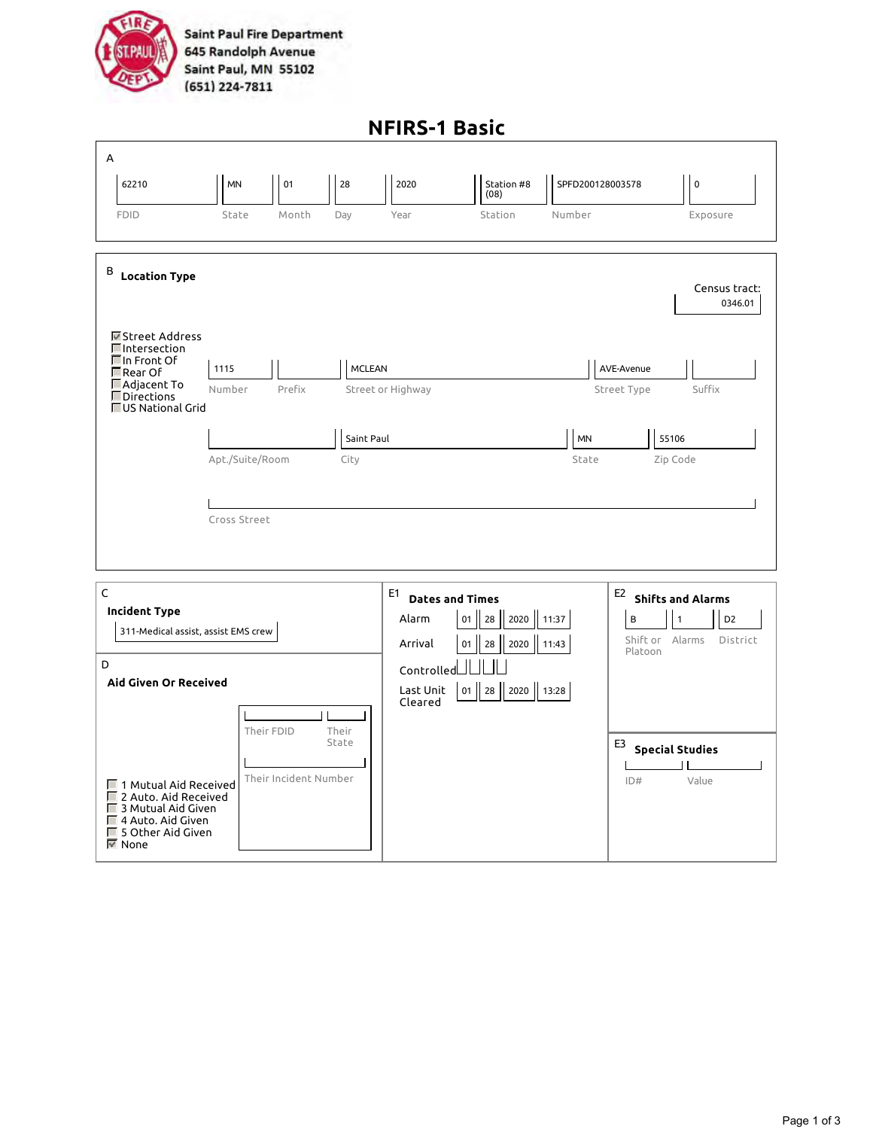

**Saint Paul Fire Department** 645 Randolph Avenue Saint Paul, MN 55102 (651) 224-7811

|                                                                                                          |                                                                                                                               |              |                                                              |                                                                                                        | <b>NFIRS-1 Basic</b> |                                                                                                                  |                  |                                              |  |
|----------------------------------------------------------------------------------------------------------|-------------------------------------------------------------------------------------------------------------------------------|--------------|--------------------------------------------------------------|--------------------------------------------------------------------------------------------------------|----------------------|------------------------------------------------------------------------------------------------------------------|------------------|----------------------------------------------|--|
| А                                                                                                        |                                                                                                                               |              |                                                              |                                                                                                        |                      |                                                                                                                  |                  |                                              |  |
|                                                                                                          | 62210                                                                                                                         | MN           | 01                                                           | 28                                                                                                     | 2020                 | Station #8<br>(08)                                                                                               | SPFD200128003578 | $\mathsf 0$                                  |  |
|                                                                                                          | <b>FDID</b>                                                                                                                   | State        | Month                                                        | Day                                                                                                    | Year                 | Station                                                                                                          | Number           | Exposure                                     |  |
| В                                                                                                        | <b>Location Type</b><br><b>■</b> Street Address<br><b>□</b> Intersection                                                      |              |                                                              |                                                                                                        |                      |                                                                                                                  |                  | Census tract:<br>0346.01                     |  |
|                                                                                                          | $\square$ In Front Of<br>MCLEAN<br>1115<br>$\Box$ Rear Of                                                                     |              |                                                              |                                                                                                        |                      | AVE-Avenue                                                                                                       |                  |                                              |  |
|                                                                                                          | ■ Adjacent To<br>Directions<br><b>■US National Grid</b>                                                                       | Number       | Prefix                                                       |                                                                                                        | Street or Highway    |                                                                                                                  |                  | Street Type<br>Suffix                        |  |
|                                                                                                          |                                                                                                                               |              |                                                              | Saint Paul                                                                                             |                      |                                                                                                                  | <b>MN</b>        | 55106                                        |  |
|                                                                                                          | Apt./Suite/Room<br>City                                                                                                       |              |                                                              |                                                                                                        |                      | State                                                                                                            | Zip Code         |                                              |  |
|                                                                                                          |                                                                                                                               | Cross Street |                                                              |                                                                                                        |                      |                                                                                                                  |                  |                                              |  |
| $\mathsf C$<br><b>Incident Type</b><br>311-Medical assist, assist EMS crew<br>D<br>Aid Given Or Received |                                                                                                                               |              | E1<br>Alarm<br>Arrival<br>Controlled<br>Last Unit<br>Cleared | <b>Dates and Times</b><br>2020 11:37<br>$\vert$ 28<br>01<br>2020 11:43<br>28<br>01<br>01 28 2020 13:28 |                      | E <sub>2</sub><br><b>Shifts and Alarms</b><br>D <sub>2</sub><br>B<br>1<br>Shift or Alarms<br>District<br>Platoon |                  |                                              |  |
|                                                                                                          | □ 1 Mutual Aid Received<br>□ 2 Auto. Aid Received<br>3 Mutual Aid Given<br>4 Auto. Aid Given<br>□ 5 Other Aid Given<br>M None |              | Their FDID<br>Their Incident Number                          | Their<br>State                                                                                         |                      |                                                                                                                  |                  | E3<br><b>Special Studies</b><br>Value<br>ID# |  |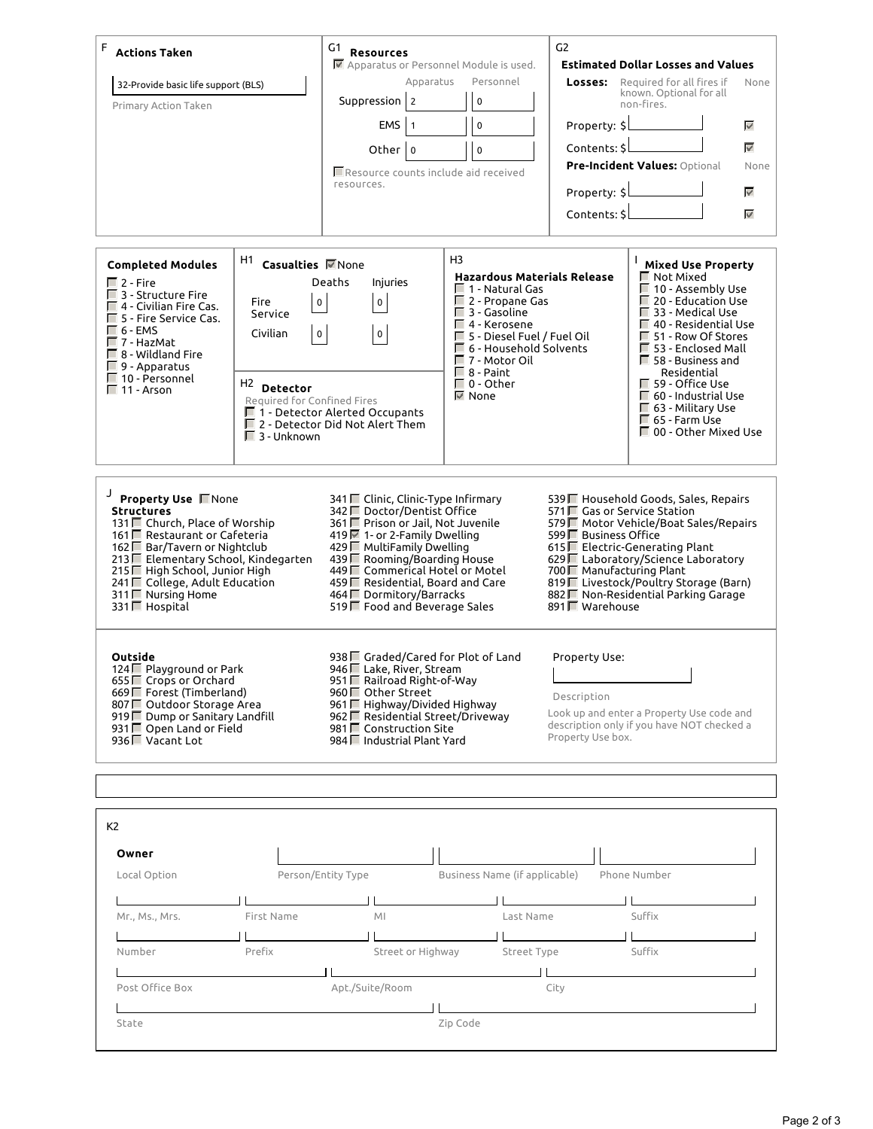| F<br><b>Actions Taken</b><br>32-Provide basic life support (BLS)<br>Primary Action Taken                                                                                                                                                                                              |                                                                                                                                                                                            | G1<br><b>Resources</b><br>■ Apparatus or Personnel Module is used.<br>Apparatus<br>Suppression 2<br>EMS<br>$\mathbf{1}$<br>Other 0<br>Resource counts include aid received<br>resources.                                                                                                                                       | Personnel<br>$\mathbf 0$<br>$\mathbf 0$<br>$\mathbf 0$                                                                                                                                                                                                                                         | G <sub>2</sub><br>Property: \$<br>Contents: \$<br>Property: \$<br>Contents: \$                                                                                                                                                                                                                                                       | <b>Estimated Dollar Losses and Values</b><br><b>Losses:</b> Required for all fires if<br>known. Optional for all<br>non-fires.<br>Pre-Incident Values: Optional                                                                                                                                                                                                                    | None<br>$\eta_{\rm eff}$<br>$\overline{\mathbf{v}^{\prime}}$<br>None<br>$\omega^{\rho}$<br>$w^{\mu}$ |
|---------------------------------------------------------------------------------------------------------------------------------------------------------------------------------------------------------------------------------------------------------------------------------------|--------------------------------------------------------------------------------------------------------------------------------------------------------------------------------------------|--------------------------------------------------------------------------------------------------------------------------------------------------------------------------------------------------------------------------------------------------------------------------------------------------------------------------------|------------------------------------------------------------------------------------------------------------------------------------------------------------------------------------------------------------------------------------------------------------------------------------------------|--------------------------------------------------------------------------------------------------------------------------------------------------------------------------------------------------------------------------------------------------------------------------------------------------------------------------------------|------------------------------------------------------------------------------------------------------------------------------------------------------------------------------------------------------------------------------------------------------------------------------------------------------------------------------------------------------------------------------------|------------------------------------------------------------------------------------------------------|
| <b>Completed Modules</b><br>$\Box$ 2 - Fire<br>□ 3 - Structure Fire<br>$\Box$ 4 - Civilian Fire Cas.<br>□ 5 - Fire Service Cas.<br>$\Box$ 6 - EMS<br>□ 7 - HazMat<br>$\Box$ 8 - Wildland Fire<br>$\Box$ 9 - Apparatus<br>□ 10 - Personnel<br>11 - Arson                               | <sup>H1</sup> Casualties <b>M</b> None<br><b>Fire</b><br>$\mathsf 0$<br>Service<br>Civilian<br>$\mathbf 0$<br>H <sub>2</sub> Detector<br>Required for Confined Fires<br>$\Box$ 3 - Unknown | Deaths<br>Injuries<br>0<br>0<br>$\Box$ 1 - Detector Alerted Occupants<br>$\Box$ 2 - Detector Did Not Alert Them                                                                                                                                                                                                                | H <sub>3</sub><br><b>Hazardous Materials Release</b><br>$\Box$ 1 - Natural Gas<br>□ 2 - Propane Gas<br>$\Box$ 3 - Gasoline<br>$\Box$ 4 - Kerosene<br>□ 5 - Diesel Fuel / Fuel Oil<br>$\Box$ 6 - Household Solvents<br>□ 7 - Motor Oil<br>$\Box$ 8 - Paint<br>$\Box$ 0 - Other<br><b>M</b> None |                                                                                                                                                                                                                                                                                                                                      | <b>Mixed Use Property</b><br>$\Box$ Not Mixed<br>$\Box$ 10 - Assembly Use<br>$\Box$ 20 - Education Use<br>□ 33 - Medical Use<br>$\Box$ 40 - Residential Use<br>■ 51 - Row Of Stores<br>□ 53 - Enclosed Mall<br>$\Box$ 58 - Business and<br>Residential<br>■ 59 - Office Use<br>$\Box$ 60 - Industrial Use<br>□ 63 - Military Use<br>$\Box$ 65 - Farm Use<br>□ 00 - Other Mixed Use |                                                                                                      |
| Property Use Mone<br><b>Structures</b><br>131 ■ Church, Place of Worship<br>161 Restaurant or Cafeteria<br>162 ■ Bar/Tavern or Nightclub<br>213 Elementary School, Kindegarten<br>215 High School, Junior High<br>241□ College, Adult Education<br>311□ Nursing Home<br>331□ Hospital |                                                                                                                                                                                            | 341 Clinic, Clinic-Type Infirmary<br>342 Doctor/Dentist Office<br>361 Prison or Jail, Not Juvenile<br>419 ■ 1- or 2-Family Dwelling<br>429 ■ MultiFamily Dwelling<br>439 ■ Rooming/Boarding House<br>449 Commerical Hotel or Motel<br>459 Residential, Board and Care<br>464 Dormitory/Barracks<br>519 Food and Beverage Sales |                                                                                                                                                                                                                                                                                                | 539 Household Goods, Sales, Repairs<br>571□ Gas or Service Station<br>579 Motor Vehicle/Boat Sales/Repairs<br>599□ Business Office<br>615 Electric-Generating Plant<br>629 Laboratory/Science Laboratory<br>700 Manufacturing Plant<br>819 Livestock/Poultry Storage (Barn)<br>882 Mon-Residential Parking Garage<br>891 ■ Warehouse |                                                                                                                                                                                                                                                                                                                                                                                    |                                                                                                      |
| Outside<br>124□ Playground or Park<br>655 Crops or Orchard<br>669 Forest (Timberland)<br>807 □ Outdoor Storage Area<br>919 Dump or Sanitary Landfill<br>931 □ Open Land or Field<br>936 Vacant Lot                                                                                    |                                                                                                                                                                                            | 938 Graded/Cared for Plot of Land<br>946□ Lake, River, Stream<br>951 Railroad Right-of-Way<br>960 □ Other Street<br>961 Highway/Divided Highway<br>962 E Residential Street/Driveway<br>981□ Construction Site<br>984 ■ Industrial Plant Yard                                                                                  |                                                                                                                                                                                                                                                                                                | Property Use:<br>Description<br>Look up and enter a Property Use code and<br>description only if you have NOT checked a<br>Property Use box.                                                                                                                                                                                         |                                                                                                                                                                                                                                                                                                                                                                                    |                                                                                                      |
| K2                                                                                                                                                                                                                                                                                    |                                                                                                                                                                                            |                                                                                                                                                                                                                                                                                                                                |                                                                                                                                                                                                                                                                                                |                                                                                                                                                                                                                                                                                                                                      |                                                                                                                                                                                                                                                                                                                                                                                    |                                                                                                      |
| Owner                                                                                                                                                                                                                                                                                 |                                                                                                                                                                                            |                                                                                                                                                                                                                                                                                                                                |                                                                                                                                                                                                                                                                                                |                                                                                                                                                                                                                                                                                                                                      |                                                                                                                                                                                                                                                                                                                                                                                    |                                                                                                      |
| Local Option                                                                                                                                                                                                                                                                          |                                                                                                                                                                                            | Person/Entity Type                                                                                                                                                                                                                                                                                                             | Business Name (if applicable)                                                                                                                                                                                                                                                                  |                                                                                                                                                                                                                                                                                                                                      | Phone Number                                                                                                                                                                                                                                                                                                                                                                       |                                                                                                      |
|                                                                                                                                                                                                                                                                                       |                                                                                                                                                                                            | M <sub>l</sub>                                                                                                                                                                                                                                                                                                                 |                                                                                                                                                                                                                                                                                                |                                                                                                                                                                                                                                                                                                                                      |                                                                                                                                                                                                                                                                                                                                                                                    |                                                                                                      |
|                                                                                                                                                                                                                                                                                       | First Name<br>Mr., Ms., Mrs.                                                                                                                                                               |                                                                                                                                                                                                                                                                                                                                | Last Name                                                                                                                                                                                                                                                                                      | Suffix                                                                                                                                                                                                                                                                                                                               |                                                                                                                                                                                                                                                                                                                                                                                    |                                                                                                      |
| Number                                                                                                                                                                                                                                                                                | Prefix                                                                                                                                                                                     | Street or Highway                                                                                                                                                                                                                                                                                                              | Street Type                                                                                                                                                                                                                                                                                    |                                                                                                                                                                                                                                                                                                                                      | Suffix                                                                                                                                                                                                                                                                                                                                                                             |                                                                                                      |
|                                                                                                                                                                                                                                                                                       |                                                                                                                                                                                            |                                                                                                                                                                                                                                                                                                                                |                                                                                                                                                                                                                                                                                                |                                                                                                                                                                                                                                                                                                                                      |                                                                                                                                                                                                                                                                                                                                                                                    |                                                                                                      |
| Post Office Box                                                                                                                                                                                                                                                                       | City                                                                                                                                                                                       |                                                                                                                                                                                                                                                                                                                                |                                                                                                                                                                                                                                                                                                |                                                                                                                                                                                                                                                                                                                                      |                                                                                                                                                                                                                                                                                                                                                                                    |                                                                                                      |
| State                                                                                                                                                                                                                                                                                 |                                                                                                                                                                                            |                                                                                                                                                                                                                                                                                                                                | Zip Code                                                                                                                                                                                                                                                                                       |                                                                                                                                                                                                                                                                                                                                      |                                                                                                                                                                                                                                                                                                                                                                                    |                                                                                                      |